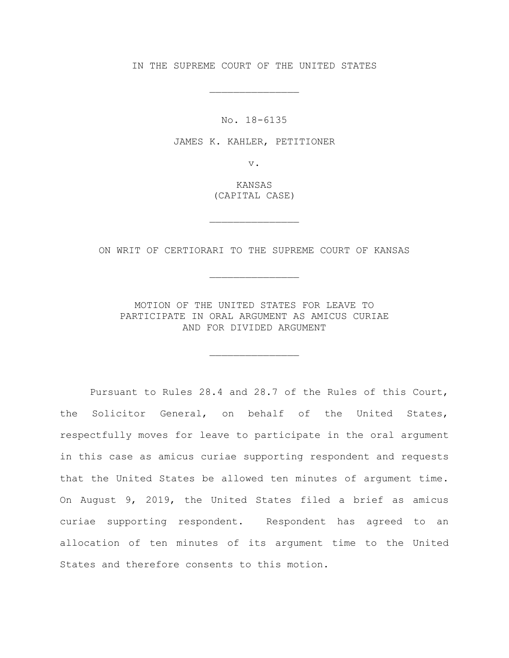IN THE SUPREME COURT OF THE UNITED STATES

\_\_\_\_\_\_\_\_\_\_\_\_\_\_\_

No. 18-6135

JAMES K. KAHLER, PETITIONER

v.

KANSAS (CAPITAL CASE)

\_\_\_\_\_\_\_\_\_\_\_\_\_\_\_

ON WRIT OF CERTIORARI TO THE SUPREME COURT OF KANSAS

\_\_\_\_\_\_\_\_\_\_\_\_\_\_\_

MOTION OF THE UNITED STATES FOR LEAVE TO PARTICIPATE IN ORAL ARGUMENT AS AMICUS CURIAE AND FOR DIVIDED ARGUMENT

 $\frac{1}{2}$  , and the set of the set of the set of the set of the set of the set of the set of the set of the set of the set of the set of the set of the set of the set of the set of the set of the set of the set of the set

Pursuant to Rules 28.4 and 28.7 of the Rules of this Court, the Solicitor General, on behalf of the United States, respectfully moves for leave to participate in the oral argument in this case as amicus curiae supporting respondent and requests that the United States be allowed ten minutes of argument time. On August 9, 2019, the United States filed a brief as amicus curiae supporting respondent. Respondent has agreed to an allocation of ten minutes of its argument time to the United States and therefore consents to this motion.